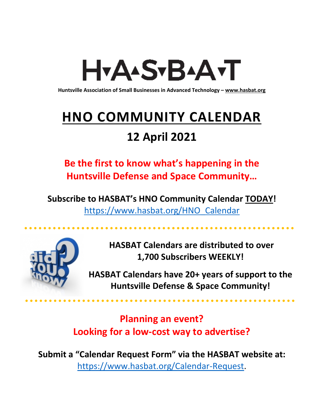# H<sub>Y</sub>AASTBAATT

**Huntsville Association of Small Businesses in Advanced Technology – [www.hasbat.org](http://www.hasbat.org/)**

# **HNO COMMUNITY CALENDAR**

## **12 April 2021**

**Be the first to know what's happening in the Huntsville Defense and Space Community…** 

**Subscribe to HASBAT's HNO Community Calendar TODAY!**  [https://www.hasbat.org/HNO\\_Calendar](https://www.hasbat.org/HNO_Calendar)



**HASBAT Calendars are distributed to over 1,700 Subscribers WEEKLY!**

**HASBAT Calendars have 20+ years of support to the Huntsville Defense & Space Community!** 

**Planning an event? Looking for a low-cost way to advertise?**

**Submit a "Calendar Request Form" via the HASBAT website at:**  [https://www.hasbat.org/Calendar-Request.](https://www.hasbat.org/Calendar-Request)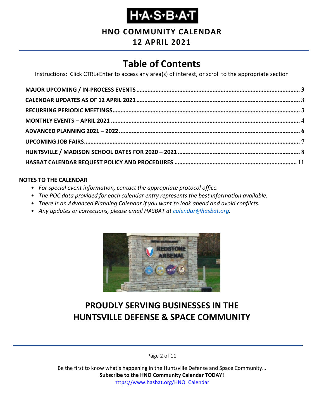

**HNO COMMUNITY CALENDAR**

### **12 APRIL 2021**

### **Table of Contents**

Instructions: Click CTRL+Enter to access any area(s) of interest, or scroll to the appropriate section

#### **NOTES TO THE CALENDAR**

- *For special event information, contact the appropriate protocol office.*
- *The POC data provided for each calendar entry represents the best information available.*
- *There is an Advanced Planning Calendar if you want to look ahead and avoid conflicts.*
- *Any updates or corrections, please email HASBAT at [calendar@hasbat.org.](mailto:calendar@hasbat.org)*



### **PROUDLY SERVING BUSINESSES IN THE HUNTSVILLE DEFENSE & SPACE COMMUNITY**

Page 2 of 11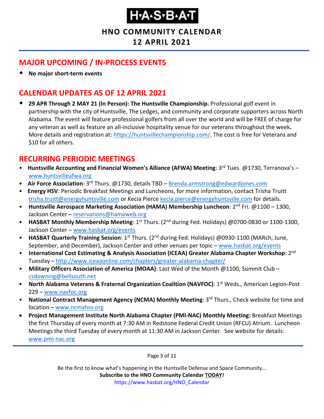#### **HNO COMMUNITY CALENDAR**

#### **12 APRIL 2021**

#### <span id="page-2-0"></span>**MAJOR UPCOMING / IN-PROCESS EVENTS**

• **No major short-term events**

#### <span id="page-2-1"></span>**CALENDAR UPDATES AS OF 12 APRIL 2021**

• **29 APR Through 2 MAY 21 (In Person): The Huntsville Championship.** Professional golf event in partnership with the city of Huntsville, The Ledges, and community and corporate supporters across North Alabama. The event will feature professional golfers from all over the world and will be FREE of charge for any veteran as well as feature an all-inclusive hospitality venue for our veterans throughout the week**.** More details and registration at: [https://huntsvillechampionship.com/.](https://huntsvillechampionship.com/) The cost is free for Veterans and \$10 for all others.

#### <span id="page-2-2"></span>**RECURRING PERIODIC MEETINGS**

- Huntsville Accounting and Financial Women's Alliance (AFWA) Meeting: 3<sup>rd</sup> Tues. @1730, Terranova's [www.huntsvilleafwa.org](http://www.huntsvilleafwa.org/)
- **Air Force Association**: 3<sup>rd</sup> Thurs. @1730, details TBD [Brenda.armstrong@edwardjones.com](mailto:Brenda.armstrong@edwardjones.com)
- **Energy HSV**: Periodic Breakfast Meetings and Luncheons, for more information, contact Trisha Truitt [trisha.truitt@energyhuntsville.com](mailto:trisha.truitt@energyhuntsville.com) or Kecia Pierce [kecia.pierce@energyhuntsville.com](mailto:kecia.pierce@energyhuntsville.com) for details.
- Huntsville Aerospace Marketing Association (HAMA) Membership Luncheon: 2<sup>nd</sup> Fri. @1100 1300, Jackson Center – [reservations@hamaweb.org](mailto:reservations@hamaweb.org)
- **HASBAT Monthly Membership Meeting**: 1<sup>st</sup> Thurs. (2<sup>nd</sup> during Fed. Holidays) @0700-0830 or 1100-1300, Jackson Center – [www.hasbat.org/events](http://www.hasbat.org/events)
- **HASBAT Quarterly Training Session**: 1st Thurs. (2nd during Fed. Holidays) @0930-1100 (MARch, June, September, and December), Jackson Center and other venues per topic – [www.hasbat.org/events](http://www.hasbat.org/events)
- **International Cost Estimating & Analysis Association (ICEAA) Greater Alabama Chapter Workshop**: 2nd Tuesday – <http://www.iceaaonline.com/chapters/greater-alabama-chapter/>
- **Military Officers Association of America (MOAA)**: Last Wed of the Month @1100, Summit Club [csdowning@bellsouth.net](mailto:csdowning@bellsouth.net)
- **North Alabama Veterans & Fraternal Organization Coalition (NAVFOC): 1<sup>st</sup> Weds., American Legion-Post** 229 – [www.navfoc.org](http://www.navfoc.org/)
- **National Contract Management Agency (NCMA) Monthly Meeting**: 3rd Thurs., Check website for time and location – [www.ncmahsv.org](http://www.ncmahsv.org/)
- **Project Management Institute North Alabama Chapter (PMI-NAC) Monthly Meeting:** Breakfast Meetings the first Thursday of every month at 7:30 AM in Redstone Federal Credit Union (RFCU) Atrium. Luncheon Meetings the third Tuesday of every month at 11:30 AM in Jackson Center. See website for details: [www.pmi-nac.org](http://www.pmi-nac.org/)

Page 3 of 11

Be the first to know what's happening in the Huntsville Defense and Space Community… **Subscribe to the HNO Community Calendar TODAY!** 

https://www.hasbat.org/HNO\_Calendar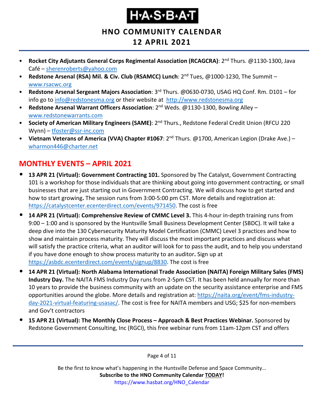**HNO COMMUNITY CALENDAR**

#### **12 APRIL 2021**

- **Rocket City Adjutants General Corps Regimental Association (RCAGCRA)**: 2nd Thurs. @1130-1300, Java Café – [sherenroberts@yahoo.com](mailto:sherenroberts@yahoo.com)
- **Redstone Arsenal (RSA) Mil. & Civ. Club (RSAMCC) Lunch**: 2nd Tues, @1000-1230, The Summit [www.rsacwc.org](http://www.rsacwc.org/)
- **Redstone Arsenal Sergeant Majors Association**: 3rd Thurs. @0630-0730, USAG HQ Conf. Rm. D101 for info go to [info@redstonesma.org](mailto:info@redstonesma.org) or their website at [http://www.redstonesma.org](http://www.redstonesma.org/)
- **Redstone Arsenal Warrant Officers Association**: 2nd Weds. @1130-1300, Bowling Alley [www.redstonewarrants.com](http://www.redstonewarrants.com/)
- **Society of American Military Engineers (SAME)**: 2nd Thurs., Redstone Federal Credit Union (RFCU 220 Wynn) – [tfoster@ssr-inc.com](mailto:tfoster@ssr-inc.com)
- **Vietnam Veterans of America (VVA) Chapter #1067**: 2nd Thurs. @1700, American Legion (Drake Ave.) [wharmon446@charter.net](mailto:wharmon446@charter.net)

### <span id="page-3-0"></span>**MONTHLY EVENTS – APRIL 2021**

- **13 APR 21 (Virtual): Government Contracting 101.** Sponsored by The Catalyst, Government Contracting 101 is a workshop for those individuals that are thinking about going into government contracting, or small businesses that are just starting out in Government Contracting. We will discuss how to get started and how to start growing**.** The session runs from 3:00-5:00 pm CST. More details and registration at: [https://catalystcenter.ecenterdirect.com/events/971450.](https://catalystcenter.ecenterdirect.com/events/971450) The cost is free
- **14 APR 21 (Virtual): Comprehensive Review of CMMC Level 3.** This 4-hour in-depth training runs from 9:00 – 1:00 and is sponsored by the Huntsville Small Business Development Center (SBDC). It will take a deep dive into the 130 Cybersecurity Maturity Model Certification (CMMC) Level 3 practices and how to show and maintain process maturity. They will discuss the most important practices and discuss what will satisfy the practice criteria, what an auditor will look for to pass the audit, and to help you understand if you have done enough to show process maturity to an auditor**.** Sign up at [https://asbdc.ecenterdirect.com/events/signup/8830.](https://asbdc.ecenterdirect.com/events/signup/8830) The cost is free
- **14 APR 21 (Virtual): North Alabama International Trade Association (NAITA) Foreign Military Sales (FMS) Industry Day.** The NAITA FMS Industry Day runs from 2-5pm CST. It has been held annually for more than 10 years to provide the business community with an update on the security assistance enterprise and FMS opportunities around the globe. More details and registration at: [https://naita.org/event/fms-industry](https://naita.org/event/fms-industry-day-2021-virtual-featuring-usasac/)[day-2021-virtual-featuring-usasac/.](https://naita.org/event/fms-industry-day-2021-virtual-featuring-usasac/) The cost is free for NAITA members and USG; \$25 for non-members and Gov't contractors
- **15 APR 21 (Virtual): The Monthly Close Process – Approach & Best Practices Webinar.** Sponsored by Redstone Government Consulting, Inc (RGCI), this free webinar runs from 11am-12pm CST and offers

Page 4 of 11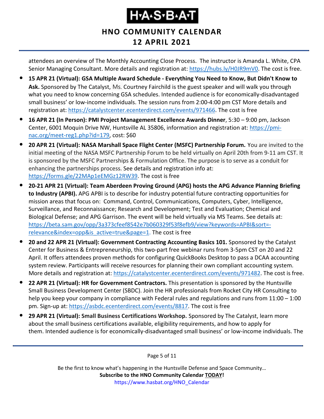#### **HNO COMMUNITY CALENDAR 12 APRIL 2021**

attendees an overview of The Monthly Accounting Close Process. The instructor is Amanda L. White, CPA Senior Managing Consultant. More details and registration at: [https://hubs.ly/H0JR9mV0.](https://hubs.ly/H0JR9mV0) The cost is free.

- **15 APR 21 (Virtual): GSA Multiple Award Schedule - Everything You Need to Know, But Didn't Know to Ask.** Sponsored by The Catalyst, Ms. Courtney Fairchild is the guest speaker and will walk you through what you need to know concerning GSA schedules. Intended audience is for economically-disadvantaged small business' or low-income individuals. The session runs from 2:00-4:00 pm CST More details and registration at: [https://catalystcenter.ecenterdirect.com/events/971466.](https://catalystcenter.ecenterdirect.com/events/971466) The cost is free
- **16 APR 21 (In Person): PMI Project Management Excellence Awards Dinner**, 5:30 9:00 pm, Jackson Center, 6001 Moquin Drive NW, Huntsville AL 35806, information and registration at: [https://pmi](https://pmi-nac.org/meet-reg1.php?id=179)[nac.org/meet-reg1.php?id=179,](https://pmi-nac.org/meet-reg1.php?id=179) cost: \$60
- **20 APR 21 (Virtual): NASA Marshall Space Flight Center (MSFC) Partnership Forum.** You are invited to the initial meeting of the NASA MSFC Partnership Forum to be held virtually on April 20th from 9-11 am CST. It is sponsored by the MSFC Partnerships & Formulation Office. The purpose is to serve as a conduit for enhancing the partnerships process. See details and registration info at: [https://forms.gle/22MAp1eEMGz12RW39.](https://forms.gle/22MAp1eEMGz12RW39) The cost is free
- **20-21 APR 21 (Virtual): Team Aberdeen Proving Ground (APG) hosts the APG Advance Planning Briefing to Industry (APBI).** APG APBI is to describe for industry potential future contracting opportunities for mission areas that focus on: Command, Control, Communications, Computers, Cyber, Intelligence, Surveillance, and Reconnaissance; Research and Development; Test and Evaluation; Chemical and Biological Defense; and APG Garrison. The event will be held virtually via MS Teams. See details at: [https://beta.sam.gov/opp/3a373cfeef8542e7b060329f53f8efb9/view?keywords=APBI&sort=](https://beta.sam.gov/opp/3a373cfeef8542e7b060329f53f8efb9/view?keywords=APBI&sort=-relevance&index=opp&is_active=true&page=1) [relevance&index=opp&is\\_active=true&page=1.](https://beta.sam.gov/opp/3a373cfeef8542e7b060329f53f8efb9/view?keywords=APBI&sort=-relevance&index=opp&is_active=true&page=1) The cost is free
- **20 and 22 APR 21 (Virtual): Government Contracting Accounting Basics 101.** Sponsored by the Catalyst Center for Business & Entrepreneurship, this two-part free webinar runs from 3-5pm CST on 20 and 22 April. It offers attendees proven methods for configuring QuickBooks Desktop to pass a DCAA accounting system review. Participants will receive resources for planning their own compliant accounting system. More details and registration at: [https://catalystcenter.ecenterdirect.com/events/971482.](https://catalystcenter.ecenterdirect.com/events/971482) The cost is free.
- **22 APR 21 (Virtual): HR for Government Contractors.** This presentation is sponsored by the Huntsville Small Business Development Center (SBDC). Join the HR professionals from Rocket City HR Consulting to help you keep your company in compliance with Federal rules and regulations and runs from 11:00 – 1:00 pm. Sign-up at: [https://asbdc.ecenterdirect.com/events/8817.](https://asbdc.ecenterdirect.com/events/8817) The cost is free
- **29 APR 21 (Virtual): Small Business Certifications Workshop.** Sponsored by The Catalyst, learn more about the small business certifications available, eligibility requirements, and how to apply for them. Intended audience is for economically-disadvantaged small business' or low-income individuals. The

Page 5 of 11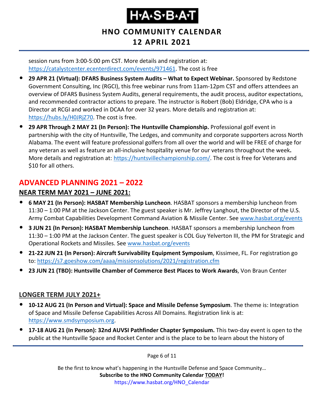# **Н•А**•Ѕ•В•А•Т

**HNO COMMUNITY CALENDAR 12 APRIL 2021**

session runs from 3:00-5:00 pm CST. More details and registration at: [https://catalystcenter.ecenterdirect.com/events/971461.](https://catalystcenter.ecenterdirect.com/events/971461) The cost is free

- **29 APR 21 (Virtual): DFARS Business System Audits – What to Expect Webinar.** Sponsored by Redstone Government Consulting, Inc (RGCI), this free webinar runs from 11am-12pm CST and offers attendees an overview of DFARS Business System Audits, general requirements, the audit process, auditor expectations, and recommended contractor actions to prepare. The instructor is Robert (Bob) Eldridge, CPA who is a Director at RCGI and worked in DCAA for over 32 years. More details and registration at: [https://hubs.ly/H0JRjZ70.](https://hubs.ly/H0JRjZ70) The cost is free.
- **29 APR Through 2 MAY 21 (In Person): The Huntsville Championship.** Professional golf event in partnership with the city of Huntsville, The Ledges, and community and corporate supporters across North Alabama. The event will feature professional golfers from all over the world and will be FREE of charge for any veteran as well as feature an all-inclusive hospitality venue for our veterans throughout the week**.** More details and registration at: [https://huntsvillechampionship.com/.](https://huntsvillechampionship.com/) The cost is free for Veterans and \$10 for all others.

### <span id="page-5-0"></span>**ADVANCED PLANNING 2021 – 2022**

#### **NEAR TERM MAY 2021 – JUNE 2021:**

- **6 MAY 21 (In Person): HASBAT Membership Luncheon**. HASBAT sponsors a membership luncheon from 11:30 – 1:00 PM at the Jackson Center. The guest speaker is Mr. Jeffrey Langhout, the Director of the U.S. Army Combat Capabilities Development Command Aviation & Missile Center. See [www.hasbat.org/events](http://www.hasbat.org/events)
- **3 JUN 21 (In Person): HASBAT Membership Luncheon**. HASBAT sponsors a membership luncheon from 11:30 – 1:00 PM at the Jackson Center. The guest speaker is COL Guy Yelverton III, the PM for Strategic and Operational Rockets and Missiles. See [www.hasbat.org/events](http://www.hasbat.org/events)
- **21-22 JUN 21 (In Person): Aircraft Survivability Equipment Symposium**, Kissimee, FL. For registration go to:<https://s7.goeshow.com/aaaa/missionsolutions/2021/registration.cfm>
- **23 JUN 21 (TBD): Huntsville Chamber of Commerce Best Places to Work Awards**, Von Braun Center

#### **LONGER TERM JULY 2021+**

- **10-12 AUG 21 (In Person and Virtual): Space and Missile Defense Symposium**. The theme is: Integration of Space and Missile Defense Capabilities Across All Domains. Registration link is at: [https://www.smdsymposium.org.](https://www.smdsymposium.org/)
- **17-18 AUG 21 (In Person): 32nd AUVSI Pathfinder Chapter Symposium.** This two-day event is open to the public at the Huntsville Space and Rocket Center and is the place to be to learn about the history of

Page 6 of 11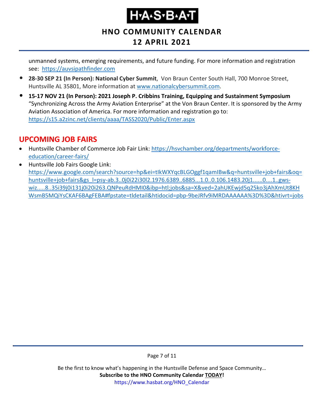### **HNO COMMUNITY CALENDAR**

#### **12 APRIL 2021**

unmanned systems, emerging requirements, and future funding. For more information and registration see: [https://auvsipathfinder.com](https://auvsipathfinder.com/)

- **28-30 SEP 21 (In Person): National Cyber Summit**, Von Braun Center South Hall, 700 Monroe Street, Huntsville AL 35801, More information at [www.nationalcybersummit.com.](http://www.nationalcybersummit.com/)
- **15-17 NOV 21 (In Person): 2021 Joseph P. Cribbins Training, Equipping and Sustainment Symposium** "Synchronizing Across the Army Aviation Enterprise" at the Von Braun Center. It is sponsored by the Army Aviation Association of America. For more information and registration go to: <https://s15.a2zinc.net/clients/aaaa/TASS2020/Public/Enter.aspx>

#### <span id="page-6-0"></span>**UPCOMING JOB FAIRS**

- Huntsville Chamber of Commerce Job Fair Link: [https://hsvchamber.org/departments/workforce](https://hsvchamber.org/departments/workforce-education/career-fairs/)[education/career-fairs/](https://hsvchamber.org/departments/workforce-education/career-fairs/)
- Huntsville Job Fairs Google Link: [https://www.google.com/search?source=hp&ei=tIkWXYqcBLGOggf1qamIBw&q=huntsville+job+fairs&oq=](https://www.google.com/search?source=hp&ei=tIkWXYqcBLGOggf1qamIBw&q=huntsville+job+fairs&oq=huntsville+job+fairs&gs_l=psy-ab.3..0j0i22i30l2.1976.6389..6885...1.0..0.106.1483.20j1......0....1..gws-wiz.....8..35i39j0i131j0i20i263.QNPeuRdHMI0&ibp=htl;jobs&sa=X&ved=2ahUKEwjd5q25ko3jAhXmUt8KHWsmB5MQiYsCKAF6BAgFEBA#fpstate=tldetail&htidocid=pbp-9beJRfv9iMRDAAAAAA%3D%3D&htivrt=jobs) [huntsville+job+fairs&gs\\_l=psy-ab.3..0j0i22i30l2.1976.6389..6885...1.0..0.106.1483.20j1......0....1..gws](https://www.google.com/search?source=hp&ei=tIkWXYqcBLGOggf1qamIBw&q=huntsville+job+fairs&oq=huntsville+job+fairs&gs_l=psy-ab.3..0j0i22i30l2.1976.6389..6885...1.0..0.106.1483.20j1......0....1..gws-wiz.....8..35i39j0i131j0i20i263.QNPeuRdHMI0&ibp=htl;jobs&sa=X&ved=2ahUKEwjd5q25ko3jAhXmUt8KHWsmB5MQiYsCKAF6BAgFEBA#fpstate=tldetail&htidocid=pbp-9beJRfv9iMRDAAAAAA%3D%3D&htivrt=jobs)[wiz.....8..35i39j0i131j0i20i263.QNPeuRdHMI0&ibp=htl;jobs&sa=X&ved=2ahUKEwjd5q25ko3jAhXmUt8KH](https://www.google.com/search?source=hp&ei=tIkWXYqcBLGOggf1qamIBw&q=huntsville+job+fairs&oq=huntsville+job+fairs&gs_l=psy-ab.3..0j0i22i30l2.1976.6389..6885...1.0..0.106.1483.20j1......0....1..gws-wiz.....8..35i39j0i131j0i20i263.QNPeuRdHMI0&ibp=htl;jobs&sa=X&ved=2ahUKEwjd5q25ko3jAhXmUt8KHWsmB5MQiYsCKAF6BAgFEBA#fpstate=tldetail&htidocid=pbp-9beJRfv9iMRDAAAAAA%3D%3D&htivrt=jobs) [WsmB5MQiYsCKAF6BAgFEBA#fpstate=tldetail&htidocid=pbp-9beJRfv9iMRDAAAAAA%3D%3D&htivrt=jobs](https://www.google.com/search?source=hp&ei=tIkWXYqcBLGOggf1qamIBw&q=huntsville+job+fairs&oq=huntsville+job+fairs&gs_l=psy-ab.3..0j0i22i30l2.1976.6389..6885...1.0..0.106.1483.20j1......0....1..gws-wiz.....8..35i39j0i131j0i20i263.QNPeuRdHMI0&ibp=htl;jobs&sa=X&ved=2ahUKEwjd5q25ko3jAhXmUt8KHWsmB5MQiYsCKAF6BAgFEBA#fpstate=tldetail&htidocid=pbp-9beJRfv9iMRDAAAAAA%3D%3D&htivrt=jobs)

Page 7 of 11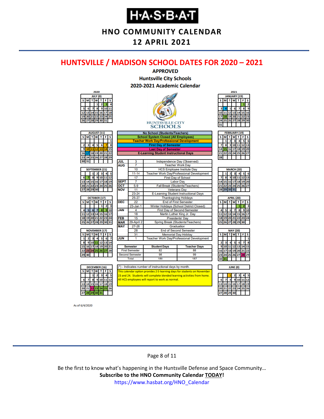**HNO COMMUNITY CALENDAR**

#### **12 APRIL 2021**

#### <span id="page-7-0"></span>**HUNTSVILLE / MADISON SCHOOL DATES FOR 2020 – 2021**



As of 6/4/2020

#### Page 8 of 11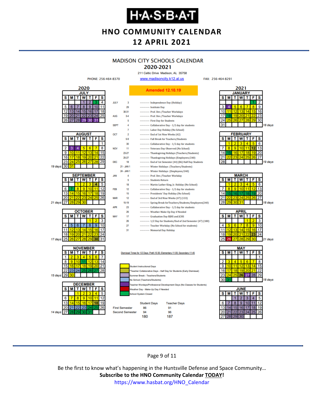**HNO COMMUNITY CALENDAR**

#### **12 APRIL 2021**

#### **MADISON CITY SCHOOLS CALENDAR**

#### 2020-2021

211 Celtic Drive Madison, AL 35758 www.madisoncity.k12.al.us

FAX: 256-464-8291



#### Page 9 of 11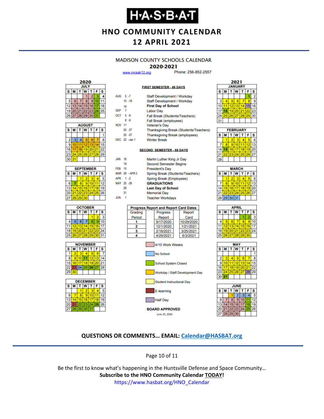### **Н-А-S-В-А-Т**

**HNO COMMUNITY CALENDAR**

#### **12 APRIL 2021**

#### **MADISON COUNTY SCHOOLS CALENDAR**

#### 2020-2021

**FIRST SEMESTER - 88 DAYS** 

www.mcssk12.org

Phone: 256-852-2557

|    | 2020        |    |    |             |       |     |    |  |  |  |
|----|-------------|----|----|-------------|-------|-----|----|--|--|--|
|    | <b>JULY</b> |    |    |             |       |     |    |  |  |  |
|    | s<br>s<br>F |    |    |             |       |     |    |  |  |  |
|    |             |    |    |             | 2     |     |    |  |  |  |
|    | 5           | 6  |    | 8           | g     |     |    |  |  |  |
| 12 |             | 13 |    | 15          | 16    |     | 18 |  |  |  |
| 19 |             | 20 | 21 |             | 22 23 | 24  | 25 |  |  |  |
| 26 |             |    |    | 27 28 29 30 |       | 131 |    |  |  |  |

| <b>AUGUST</b> |                        |    |                   |    |    |    |  |  |  |
|---------------|------------------------|----|-------------------|----|----|----|--|--|--|
| s             | W<br>F<br>S<br>T.<br>М |    |                   |    |    |    |  |  |  |
|               |                        |    |                   |    |    |    |  |  |  |
| 2             | 3                      | 4  | 5                 | 6  |    | 8  |  |  |  |
| 9             | 10                     | 11 | $12 \overline{ }$ | 13 | Δ  | 15 |  |  |  |
| 16            | 17                     | 18 | 19 20             |    | 21 | 22 |  |  |  |
| 23            | 24                     |    | 25 26 27          |    | 28 | 29 |  |  |  |
| 30            | 31                     |    |                   |    |    |    |  |  |  |

| <b>SEPTEMBER</b> |                       |                 |          |  |    |    |  |  |  |  |
|------------------|-----------------------|-----------------|----------|--|----|----|--|--|--|--|
| s                | F<br>W<br>S<br>т<br>М |                 |          |  |    |    |  |  |  |  |
|                  |                       |                 |          |  |    |    |  |  |  |  |
| 6                |                       | ٠               | g        |  |    | 12 |  |  |  |  |
| 13               |                       | 15 <sub>1</sub> | 16       |  | 18 | 19 |  |  |  |  |
| 20               | 21                    |                 | 22 23 24 |  | 25 | 26 |  |  |  |  |
| 27               | 28                    | 29              | 30       |  |    |    |  |  |  |  |







| AUG 5-7       |                |                | Staff Development / Workday |                                              |  |                                        |  |  |  |
|---------------|----------------|----------------|-----------------------------|----------------------------------------------|--|----------------------------------------|--|--|--|
|               |                | $10 - 18$      | Staff Development / Workday |                                              |  |                                        |  |  |  |
|               | 19             |                |                             | <b>First Day of School</b>                   |  |                                        |  |  |  |
| SEP           | $\overline{7}$ |                | <b>Labor Day</b>            |                                              |  |                                        |  |  |  |
| OCT 5-9       |                |                |                             | Fall Break (Students/Teachers)               |  |                                        |  |  |  |
|               |                | $8 - 9$        |                             | Fall Break (employees)                       |  |                                        |  |  |  |
| <b>NOV 11</b> |                |                |                             | <b>Veteran's Day</b>                         |  |                                        |  |  |  |
|               |                | 24 - 27        |                             |                                              |  | Thanksgiving Break (Students/Teachers) |  |  |  |
|               |                | $25 - 27$      |                             | <b>Thanksgiving Break (employees)</b>        |  |                                        |  |  |  |
|               |                | DEC 22 -Jan 1  |                             | <b>Winter Break</b>                          |  |                                        |  |  |  |
|               |                |                |                             | <b>SECOND SEMESTER - 88 DAYS</b>             |  |                                        |  |  |  |
| <b>JAN</b>    | 18             |                |                             | Martin Luther King Jr Day                    |  |                                        |  |  |  |
|               | 19             |                |                             | <b>Second Semester Begins</b>                |  |                                        |  |  |  |
| <b>FFR 15</b> |                |                |                             | <b>President's Day</b>                       |  |                                        |  |  |  |
|               |                | MAR 29 - APR 2 |                             |                                              |  | Spring Break (Students/Teachers)       |  |  |  |
| APR 1-2       |                |                |                             | Spring Break (Employees)                     |  |                                        |  |  |  |
| MAY 25 -26    |                |                |                             | <b>GRADUATIONS</b>                           |  |                                        |  |  |  |
|               | 28             |                |                             | <b>Last Day of School</b>                    |  |                                        |  |  |  |
|               | 31             |                |                             | <b>Memorial Day</b>                          |  |                                        |  |  |  |
| <b>JUN</b>    | 1              |                |                             | <b>Teacher Workdays</b>                      |  |                                        |  |  |  |
|               |                |                |                             |                                              |  |                                        |  |  |  |
|               |                |                |                             | <b>Progress Report and Report Card Dates</b> |  |                                        |  |  |  |
|               |                | Grading        |                             | Progress                                     |  | Report                                 |  |  |  |
|               |                | Period         |                             | Report                                       |  | Card                                   |  |  |  |
|               |                | 1              |                             | 9/17/2020                                    |  | 10/29/2020                             |  |  |  |
|               |                | 2              |                             | 12/1/2020                                    |  | 1/21/2021                              |  |  |  |
|               |                | 3              |                             | 2/18/2021                                    |  | 3/25/2021                              |  |  |  |
|               |                | 4              |                             | 4/29/2021                                    |  | 6/3/2021                               |  |  |  |





| <b>FEBRUARY</b> |   |     |    |                 |    |    |  |  |  |
|-----------------|---|-----|----|-----------------|----|----|--|--|--|
| s               | м |     | W  |                 | F  | s  |  |  |  |
|                 |   | 2   |    |                 |    | 6  |  |  |  |
|                 |   | g   | ١n |                 |    | 13 |  |  |  |
|                 |   | 16  |    | 18              | 19 | 20 |  |  |  |
|                 |   | 231 | 24 | 25 <sub>1</sub> | 26 | 27 |  |  |  |
|                 |   |     |    |                 |    |    |  |  |  |

| <b>MARCH</b> |                         |    |          |    |    |    |  |  |  |  |
|--------------|-------------------------|----|----------|----|----|----|--|--|--|--|
| S            | W<br>TIF<br>s<br>М<br>т |    |          |    |    |    |  |  |  |  |
|              |                         | 2  |          |    |    | 6  |  |  |  |  |
|              | 8                       | g  | 10       |    | 12 | 13 |  |  |  |  |
| 14           | 15 <sup>1</sup>         | 16 | 17       | 18 | 19 | 20 |  |  |  |  |
| 21           | 22                      |    | 23 24 25 |    | 26 | 27 |  |  |  |  |
|              | 28 29 30 31             |    |          |    |    |    |  |  |  |  |
|              |                         |    |          |    |    |    |  |  |  |  |

| APRIL |   |                   |   |       |       |    |  |  |
|-------|---|-------------------|---|-------|-------|----|--|--|
| s     | M | т                 | W | т     | F     | s  |  |  |
|       |   |                   |   |       |       |    |  |  |
|       | 5 | 6                 |   | 8     | 9     | 10 |  |  |
| 11    |   | 12 13 14          |   | 15    | 16 17 |    |  |  |
| 18    |   | 19 20 21 22 23 24 |   |       |       |    |  |  |
| 25    |   | 26 27 28          |   | 29130 |       |    |  |  |
|       |   |                   |   |       |       |    |  |  |





#### **QUESTIONS OR COMMENTS… EMAIL: [Calendar@HASBAT.org](mailto:calendar@hasbat.org)**

Page 10 of 11